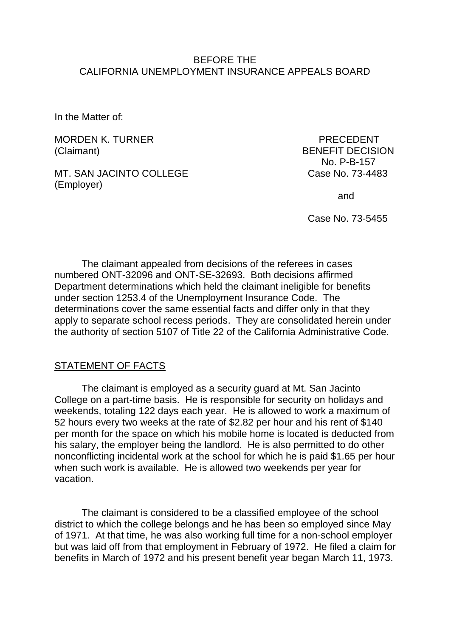## BEFORE THE CALIFORNIA UNEMPLOYMENT INSURANCE APPEALS BOARD

In the Matter of:

MORDEN K. TURNER PRECEDENT (Claimant) BENEFIT DECISION

MT. SAN JACINTO COLLEGE CASE Case No. 73-4483 (Employer)

No. P-B-157

and

Case No. 73-5455

The claimant appealed from decisions of the referees in cases numbered ONT-32096 and ONT-SE-32693. Both decisions affirmed Department determinations which held the claimant ineligible for benefits under section 1253.4 of the Unemployment Insurance Code. The determinations cover the same essential facts and differ only in that they apply to separate school recess periods. They are consolidated herein under the authority of section 5107 of Title 22 of the California Administrative Code.

## STATEMENT OF FACTS

The claimant is employed as a security guard at Mt. San Jacinto College on a part-time basis. He is responsible for security on holidays and weekends, totaling 122 days each year. He is allowed to work a maximum of 52 hours every two weeks at the rate of \$2.82 per hour and his rent of \$140 per month for the space on which his mobile home is located is deducted from his salary, the employer being the landlord. He is also permitted to do other nonconflicting incidental work at the school for which he is paid \$1.65 per hour when such work is available. He is allowed two weekends per year for vacation.

The claimant is considered to be a classified employee of the school district to which the college belongs and he has been so employed since May of 1971. At that time, he was also working full time for a non-school employer but was laid off from that employment in February of 1972. He filed a claim for benefits in March of 1972 and his present benefit year began March 11, 1973.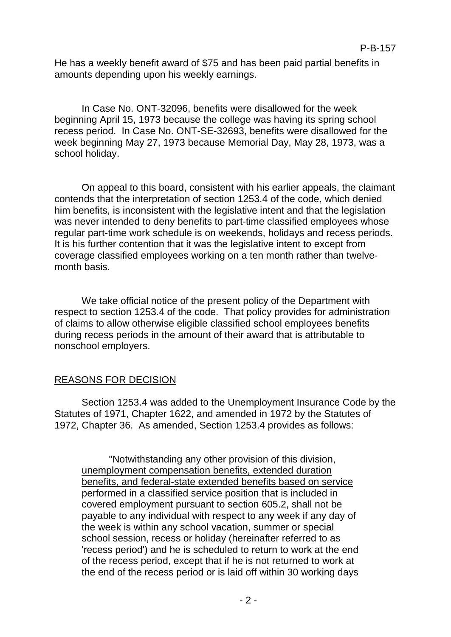He has a weekly benefit award of \$75 and has been paid partial benefits in amounts depending upon his weekly earnings.

In Case No. ONT-32096, benefits were disallowed for the week beginning April 15, 1973 because the college was having its spring school recess period. In Case No. ONT-SE-32693, benefits were disallowed for the week beginning May 27, 1973 because Memorial Day, May 28, 1973, was a school holiday.

On appeal to this board, consistent with his earlier appeals, the claimant contends that the interpretation of section 1253.4 of the code, which denied him benefits, is inconsistent with the legislative intent and that the legislation was never intended to deny benefits to part-time classified employees whose regular part-time work schedule is on weekends, holidays and recess periods. It is his further contention that it was the legislative intent to except from coverage classified employees working on a ten month rather than twelvemonth basis.

We take official notice of the present policy of the Department with respect to section 1253.4 of the code. That policy provides for administration of claims to allow otherwise eligible classified school employees benefits during recess periods in the amount of their award that is attributable to nonschool employers.

## REASONS FOR DECISION

Section 1253.4 was added to the Unemployment Insurance Code by the Statutes of 1971, Chapter 1622, and amended in 1972 by the Statutes of 1972, Chapter 36. As amended, Section 1253.4 provides as follows:

"Notwithstanding any other provision of this division, unemployment compensation benefits, extended duration benefits, and federal-state extended benefits based on service performed in a classified service position that is included in covered employment pursuant to section 605.2, shall not be payable to any individual with respect to any week if any day of the week is within any school vacation, summer or special school session, recess or holiday (hereinafter referred to as 'recess period') and he is scheduled to return to work at the end of the recess period, except that if he is not returned to work at the end of the recess period or is laid off within 30 working days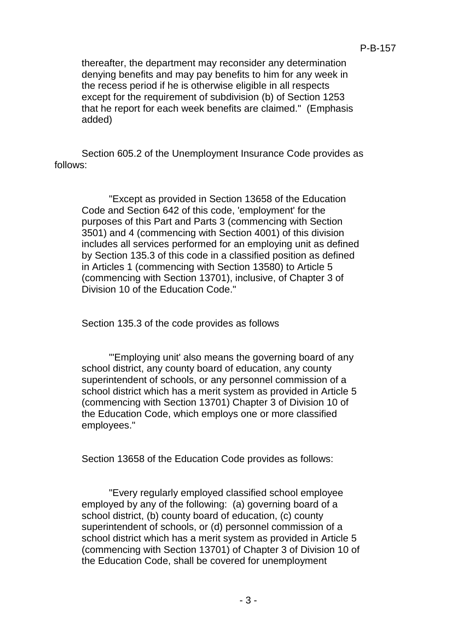thereafter, the department may reconsider any determination denying benefits and may pay benefits to him for any week in the recess period if he is otherwise eligible in all respects except for the requirement of subdivision (b) of Section 1253 that he report for each week benefits are claimed." (Emphasis added)

Section 605.2 of the Unemployment Insurance Code provides as follows:

"Except as provided in Section 13658 of the Education Code and Section 642 of this code, 'employment' for the purposes of this Part and Parts 3 (commencing with Section 3501) and 4 (commencing with Section 4001) of this division includes all services performed for an employing unit as defined by Section 135.3 of this code in a classified position as defined in Articles 1 (commencing with Section 13580) to Article 5 (commencing with Section 13701), inclusive, of Chapter 3 of Division 10 of the Education Code."

Section 135.3 of the code provides as follows

"'Employing unit' also means the governing board of any school district, any county board of education, any county superintendent of schools, or any personnel commission of a school district which has a merit system as provided in Article 5 (commencing with Section 13701) Chapter 3 of Division 10 of the Education Code, which employs one or more classified employees."

Section 13658 of the Education Code provides as follows:

"Every regularly employed classified school employee employed by any of the following: (a) governing board of a school district, (b) county board of education, (c) county superintendent of schools, or (d) personnel commission of a school district which has a merit system as provided in Article 5 (commencing with Section 13701) of Chapter 3 of Division 10 of the Education Code, shall be covered for unemployment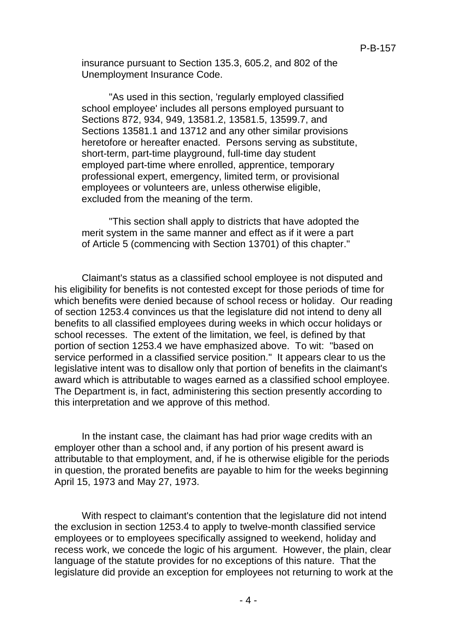insurance pursuant to Section 135.3, 605.2, and 802 of the Unemployment Insurance Code.

"As used in this section, 'regularly employed classified school employee' includes all persons employed pursuant to Sections 872, 934, 949, 13581.2, 13581.5, 13599.7, and Sections 13581.1 and 13712 and any other similar provisions heretofore or hereafter enacted. Persons serving as substitute, short-term, part-time playground, full-time day student employed part-time where enrolled, apprentice, temporary professional expert, emergency, limited term, or provisional employees or volunteers are, unless otherwise eligible, excluded from the meaning of the term.

"This section shall apply to districts that have adopted the merit system in the same manner and effect as if it were a part of Article 5 (commencing with Section 13701) of this chapter."

Claimant's status as a classified school employee is not disputed and his eligibility for benefits is not contested except for those periods of time for which benefits were denied because of school recess or holiday. Our reading of section 1253.4 convinces us that the legislature did not intend to deny all benefits to all classified employees during weeks in which occur holidays or school recesses. The extent of the limitation, we feel, is defined by that portion of section 1253.4 we have emphasized above. To wit: "based on service performed in a classified service position." It appears clear to us the legislative intent was to disallow only that portion of benefits in the claimant's award which is attributable to wages earned as a classified school employee. The Department is, in fact, administering this section presently according to this interpretation and we approve of this method.

In the instant case, the claimant has had prior wage credits with an employer other than a school and, if any portion of his present award is attributable to that employment, and, if he is otherwise eligible for the periods in question, the prorated benefits are payable to him for the weeks beginning April 15, 1973 and May 27, 1973.

With respect to claimant's contention that the legislature did not intend the exclusion in section 1253.4 to apply to twelve-month classified service employees or to employees specifically assigned to weekend, holiday and recess work, we concede the logic of his argument. However, the plain, clear language of the statute provides for no exceptions of this nature. That the legislature did provide an exception for employees not returning to work at the